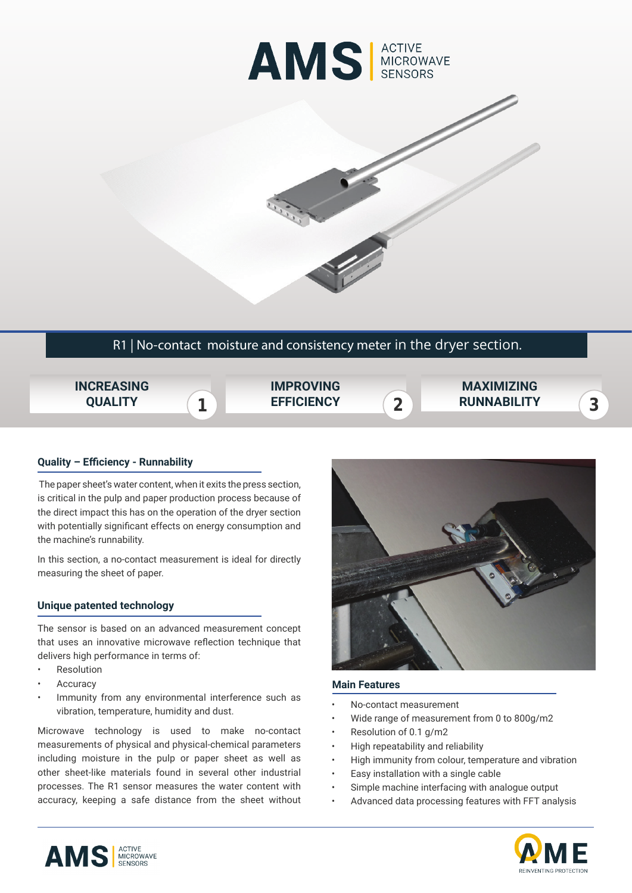



# R1 | No-contact moisture and consistency meter in the dryer section.

**1 2 EFFICIENCY INCREASING QUALITY IMPROVING MAXIMIZING RUNNABILITY**

## **Quality – Efficiency - Runnability**

 The paper sheet's water content, when it exits the press section, is critical in the pulp and paper production process because of the direct impact this has on the operation of the dryer section with potentially significant effects on energy consumption and the machine's runnability.

In this section, a no-contact measurement is ideal for directly measuring the sheet of paper.

### **Unique patented technology**

The sensor is based on an advanced measurement concept that uses an innovative microwave reflection technique that delivers high performance in terms of:

- **Resolution**
- **Accuracy**
- Immunity from any environmental interference such as vibration, temperature, humidity and dust.

Microwave technology is used to make no-contact measurements of physical and physical-chemical parameters including moisture in the pulp or paper sheet as well as other sheet-like materials found in several other industrial processes. The R1 sensor measures the water content with accuracy, keeping a safe distance from the sheet without



#### **Main Features**

- No-contact measurement
- Wide range of measurement from 0 to 800g/m2
- Resolution of 0.1 g/m2
- High repeatability and reliability
- High immunity from colour, temperature and vibration
- Easy installation with a single cable
- Simple machine interfacing with analogue output
- Advanced data processing features with FFT analysis



**3**